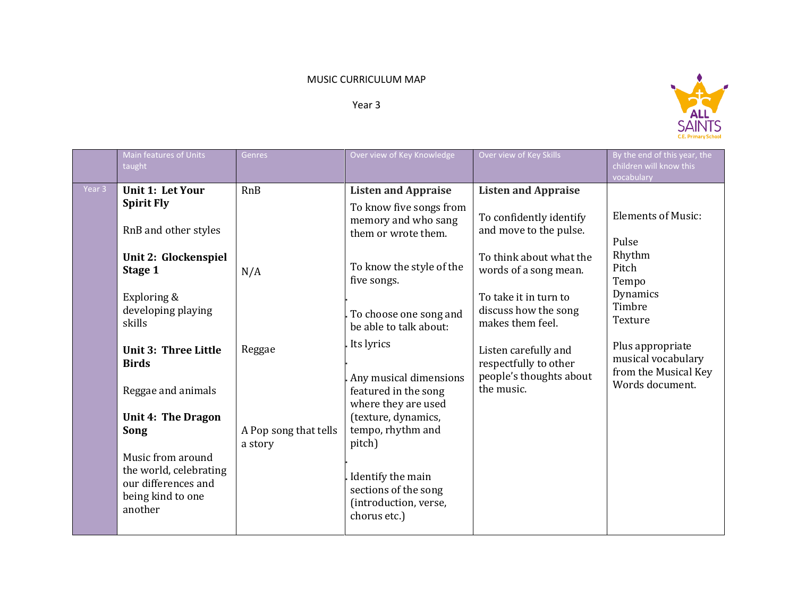## MUSIC CURRICULUM MAP

Year 3



|                   | Main features of Units<br>taught                                                                   | Genres                           | Over view of Key Knowledge                                                         | Over view of Key Skills                                                  | By the end of this year, the<br>children will know this<br>vocabulary |
|-------------------|----------------------------------------------------------------------------------------------------|----------------------------------|------------------------------------------------------------------------------------|--------------------------------------------------------------------------|-----------------------------------------------------------------------|
| Year <sub>3</sub> | <b>Unit 1: Let Your</b>                                                                            | RnB                              | <b>Listen and Appraise</b>                                                         | <b>Listen and Appraise</b>                                               |                                                                       |
|                   | <b>Spirit Fly</b><br>RnB and other styles                                                          |                                  | To know five songs from<br>memory and who sang<br>them or wrote them.              | To confidently identify<br>and move to the pulse.                        | <b>Elements of Music:</b><br>Pulse                                    |
|                   | Unit 2: Glockenspiel<br>Stage 1                                                                    | N/A                              | To know the style of the<br>five songs.                                            | To think about what the<br>words of a song mean.                         | Rhythm<br>Pitch<br>Tempo                                              |
|                   | Exploring &<br>developing playing<br>skills                                                        |                                  | To choose one song and<br>be able to talk about:                                   | To take it in turn to<br>discuss how the song<br>makes them feel.        | Dynamics<br>Timbre<br>Texture                                         |
|                   | <b>Unit 3: Three Little</b><br><b>Birds</b>                                                        | Reggae                           | Its lyrics<br>Any musical dimensions                                               | Listen carefully and<br>respectfully to other<br>people's thoughts about | Plus appropriate<br>musical vocabulary<br>from the Musical Key        |
|                   | Reggae and animals                                                                                 |                                  | featured in the song<br>where they are used                                        | the music.                                                               | Words document.                                                       |
|                   | <b>Unit 4: The Dragon</b>                                                                          |                                  | (texture, dynamics,                                                                |                                                                          |                                                                       |
|                   | Song                                                                                               | A Pop song that tells<br>a story | tempo, rhythm and<br>pitch)                                                        |                                                                          |                                                                       |
|                   | Music from around<br>the world, celebrating<br>our differences and<br>being kind to one<br>another |                                  | Identify the main<br>sections of the song<br>(introduction, verse,<br>chorus etc.) |                                                                          |                                                                       |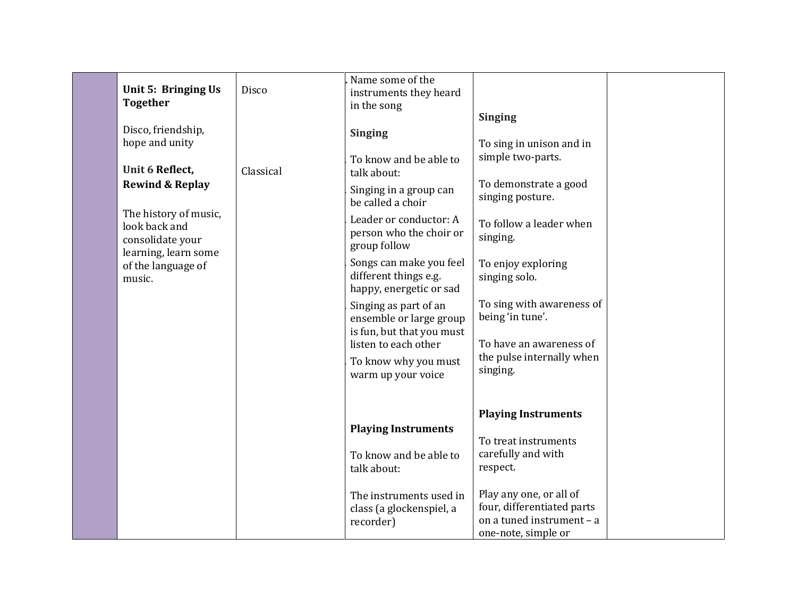|                            |           | Name some of the           |                            |  |
|----------------------------|-----------|----------------------------|----------------------------|--|
| Unit 5: Bringing Us        | Disco     | instruments they heard     |                            |  |
| <b>Together</b>            |           | in the song                |                            |  |
|                            |           |                            | <b>Singing</b>             |  |
| Disco, friendship,         |           | <b>Singing</b>             |                            |  |
| hope and unity             |           |                            | To sing in unison and in   |  |
|                            |           | To know and be able to     | simple two-parts.          |  |
| Unit 6 Reflect,            | Classical | talk about:                |                            |  |
| <b>Rewind &amp; Replay</b> |           |                            | To demonstrate a good      |  |
|                            |           | Singing in a group can     | singing posture.           |  |
| The history of music,      |           | be called a choir          |                            |  |
| look back and              |           | Leader or conductor: A     | To follow a leader when    |  |
| consolidate your           |           | person who the choir or    | singing.                   |  |
| learning, learn some       |           | group follow               |                            |  |
| of the language of         |           | Songs can make you feel    | To enjoy exploring         |  |
| music.                     |           | different things e.g.      | singing solo.              |  |
|                            |           | happy, energetic or sad    |                            |  |
|                            |           | Singing as part of an      | To sing with awareness of  |  |
|                            |           | ensemble or large group    | being 'in tune'.           |  |
|                            |           | is fun, but that you must  |                            |  |
|                            |           | listen to each other       | To have an awareness of    |  |
|                            |           |                            | the pulse internally when  |  |
|                            |           | To know why you must       | singing.                   |  |
|                            |           | warm up your voice         |                            |  |
|                            |           |                            |                            |  |
|                            |           |                            |                            |  |
|                            |           |                            | <b>Playing Instruments</b> |  |
|                            |           | <b>Playing Instruments</b> |                            |  |
|                            |           |                            | To treat instruments       |  |
|                            |           | To know and be able to     | carefully and with         |  |
|                            |           | talk about:                | respect.                   |  |
|                            |           |                            |                            |  |
|                            |           | The instruments used in    | Play any one, or all of    |  |
|                            |           | class (a glockenspiel, a   | four, differentiated parts |  |
|                            |           | recorder)                  | on a tuned instrument - a  |  |
|                            |           |                            | one-note, simple or        |  |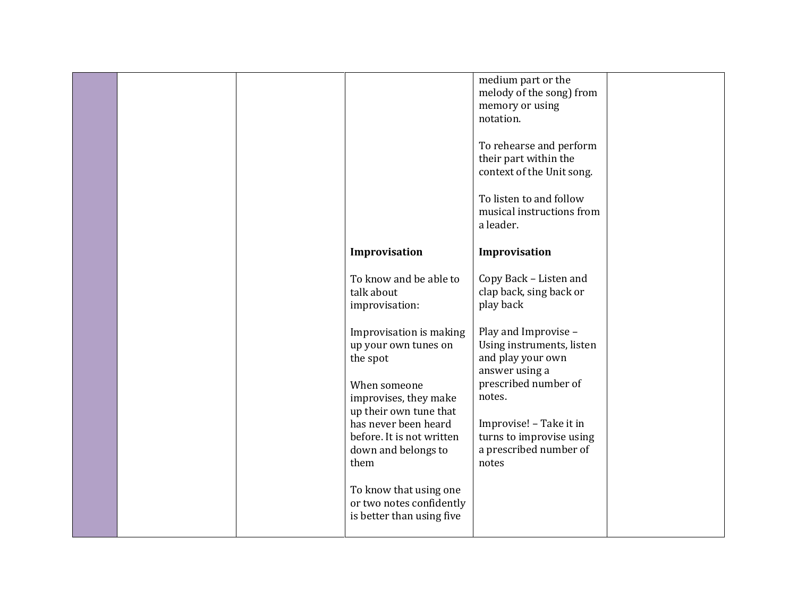|  |                                                                                                                                                                                                                    | medium part or the<br>melody of the song) from<br>memory or using<br>notation.<br>To rehearse and perform<br>their part within the<br>context of the Unit song.<br>To listen to and follow<br>musical instructions from<br>a leader. |  |
|--|--------------------------------------------------------------------------------------------------------------------------------------------------------------------------------------------------------------------|--------------------------------------------------------------------------------------------------------------------------------------------------------------------------------------------------------------------------------------|--|
|  | Improvisation                                                                                                                                                                                                      | Improvisation                                                                                                                                                                                                                        |  |
|  | To know and be able to<br>talk about<br>improvisation:                                                                                                                                                             | Copy Back - Listen and<br>clap back, sing back or<br>play back                                                                                                                                                                       |  |
|  | Improvisation is making<br>up your own tunes on<br>the spot<br>When someone<br>improvises, they make<br>up their own tune that<br>has never been heard<br>before. It is not written<br>down and belongs to<br>them | Play and Improvise -<br>Using instruments, listen<br>and play your own<br>answer using a<br>prescribed number of<br>notes.<br>Improvise! - Take it in<br>turns to improvise using<br>a prescribed number of<br>notes                 |  |
|  | To know that using one<br>or two notes confidently<br>is better than using five                                                                                                                                    |                                                                                                                                                                                                                                      |  |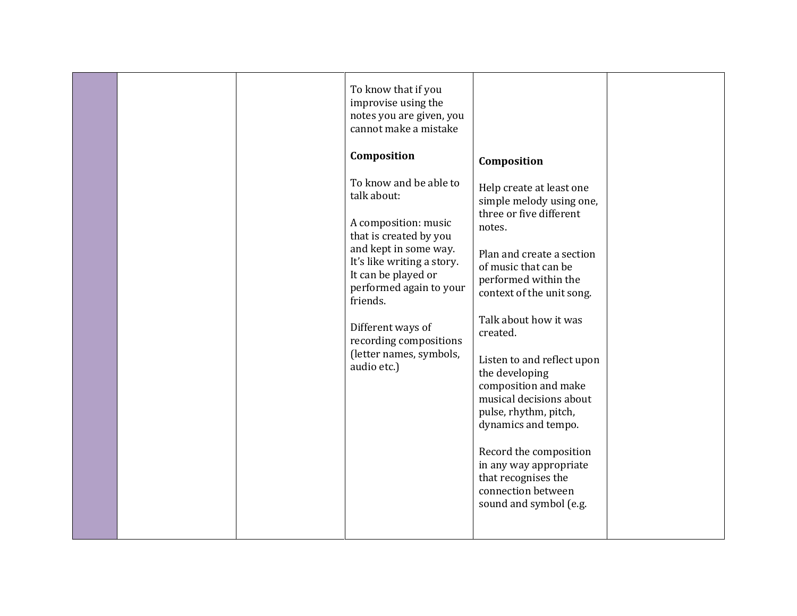|  | To know that if you<br>improvise using the<br>notes you are given, you<br>cannot make a mistake<br>Composition<br>To know and be able to<br>talk about:<br>A composition: music<br>that is created by you<br>and kept in some way.<br>It's like writing a story.<br>It can be played or<br>performed again to your<br>friends.<br>Different ways of<br>recording compositions<br>(letter names, symbols,<br>audio etc.) | Composition<br>Help create at least one<br>simple melody using one,<br>three or five different<br>notes.<br>Plan and create a section<br>of music that can be<br>performed within the<br>context of the unit song.<br>Talk about how it was<br>created.<br>Listen to and reflect upon<br>the developing<br>composition and make<br>musical decisions about<br>pulse, rhythm, pitch,<br>dynamics and tempo.<br>Record the composition<br>in any way appropriate<br>that recognises the<br>connection between<br>sound and symbol (e.g. |  |
|--|-------------------------------------------------------------------------------------------------------------------------------------------------------------------------------------------------------------------------------------------------------------------------------------------------------------------------------------------------------------------------------------------------------------------------|---------------------------------------------------------------------------------------------------------------------------------------------------------------------------------------------------------------------------------------------------------------------------------------------------------------------------------------------------------------------------------------------------------------------------------------------------------------------------------------------------------------------------------------|--|
|  |                                                                                                                                                                                                                                                                                                                                                                                                                         |                                                                                                                                                                                                                                                                                                                                                                                                                                                                                                                                       |  |